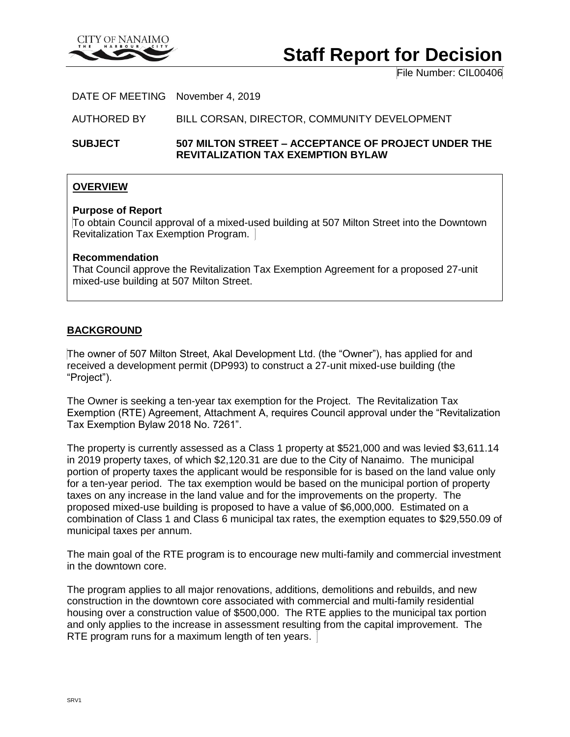

# **Staff Report for Decision**

File Number: CIL00406

DATE OF MEETING November 4, 2019

AUTHORED BY BILL CORSAN, DIRECTOR, COMMUNITY DEVELOPMENT

**SUBJECT 507 MILTON STREET – ACCEPTANCE OF PROJECT UNDER THE REVITALIZATION TAX EXEMPTION BYLAW**

## **OVERVIEW**

#### **Purpose of Report**

To obtain Council approval of a mixed-used building at 507 Milton Street into the Downtown Revitalization Tax Exemption Program.

#### **Recommendation**

That Council approve the Revitalization Tax Exemption Agreement for a proposed 27-unit mixed-use building at 507 Milton Street.

## **BACKGROUND**

The owner of 507 Milton Street, Akal Development Ltd. (the "Owner"), has applied for and received a development permit (DP993) to construct a 27-unit mixed-use building (the "Project").

The Owner is seeking a ten-year tax exemption for the Project. The Revitalization Tax Exemption (RTE) Agreement, Attachment A, requires Council approval under the "Revitalization Tax Exemption Bylaw 2018 No. 7261".

The property is currently assessed as a Class 1 property at \$521,000 and was levied \$3,611.14 in 2019 property taxes, of which \$2,120.31 are due to the City of Nanaimo. The municipal portion of property taxes the applicant would be responsible for is based on the land value only for a ten-year period. The tax exemption would be based on the municipal portion of property taxes on any increase in the land value and for the improvements on the property. The proposed mixed-use building is proposed to have a value of \$6,000,000. Estimated on a combination of Class 1 and Class 6 municipal tax rates, the exemption equates to \$29,550.09 of municipal taxes per annum.

The main goal of the RTE program is to encourage new multi-family and commercial investment in the downtown core.

The program applies to all major renovations, additions, demolitions and rebuilds, and new construction in the downtown core associated with commercial and multi-family residential housing over a construction value of \$500,000. The RTE applies to the municipal tax portion and only applies to the increase in assessment resulting from the capital improvement. The RTE program runs for a maximum length of ten years.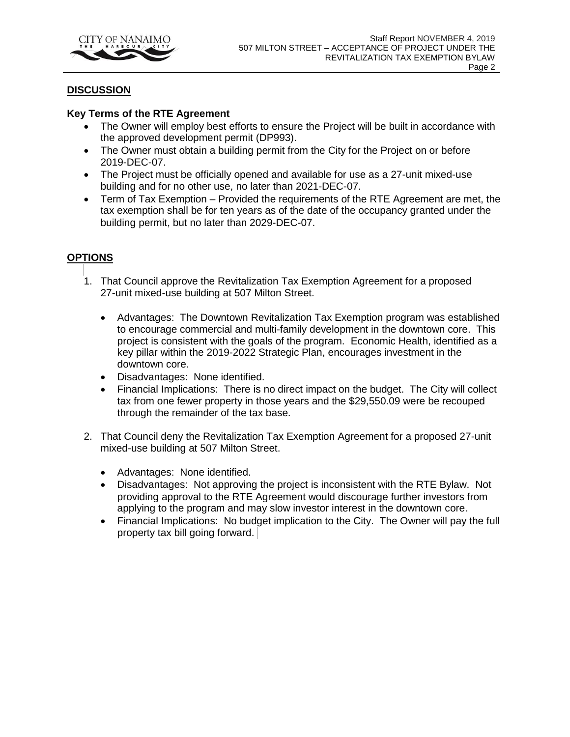

## **DISCUSSION**

#### **Key Terms of the RTE Agreement**

- The Owner will employ best efforts to ensure the Project will be built in accordance with the approved development permit (DP993).
- The Owner must obtain a building permit from the City for the Project on or before 2019-DEC-07.
- The Project must be officially opened and available for use as a 27-unit mixed-use building and for no other use, no later than 2021-DEC-07.
- Term of Tax Exemption Provided the requirements of the RTE Agreement are met, the tax exemption shall be for ten years as of the date of the occupancy granted under the building permit, but no later than 2029-DEC-07.

# **OPTIONS**

- 1. That Council approve the Revitalization Tax Exemption Agreement for a proposed 27-unit mixed-use building at 507 Milton Street.
	- Advantages: The Downtown Revitalization Tax Exemption program was established to encourage commercial and multi-family development in the downtown core. This project is consistent with the goals of the program. Economic Health, identified as a key pillar within the 2019-2022 Strategic Plan, encourages investment in the downtown core.
	- Disadvantages: None identified.
	- Financial Implications: There is no direct impact on the budget. The City will collect tax from one fewer property in those years and the \$29,550.09 were be recouped through the remainder of the tax base.
- 2. That Council deny the Revitalization Tax Exemption Agreement for a proposed 27-unit mixed-use building at 507 Milton Street.
	- Advantages: None identified.
	- Disadvantages: Not approving the project is inconsistent with the RTE Bylaw. Not providing approval to the RTE Agreement would discourage further investors from applying to the program and may slow investor interest in the downtown core.
	- Financial Implications: No budget implication to the City. The Owner will pay the full property tax bill going forward.